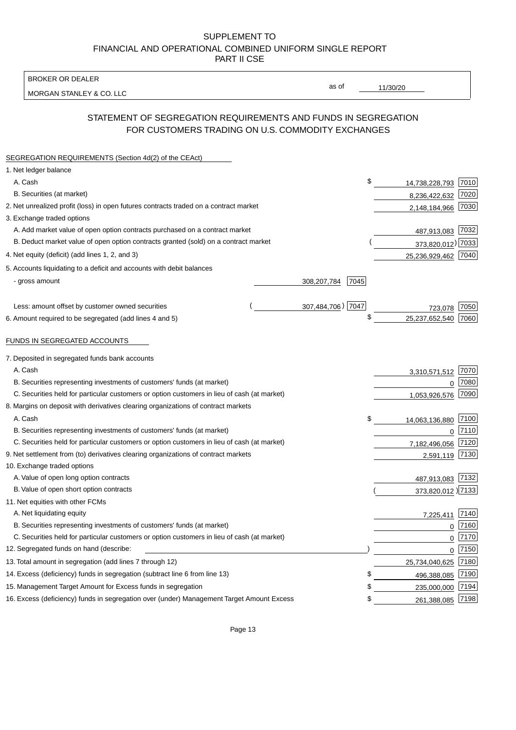BROKER OR DEALER

MORGAN STANLEY & CO. LLC

11/30/20

as of

# STATEMENT OF SEGREGATION REQUIREMENTS AND FUNDS IN SEGREGATION FOR CUSTOMERS TRADING ON U.S. COMMODITY EXCHANGES

| SEGREGATION REQUIREMENTS (Section 4d(2) of the CEAct)                                       |                     |                        |          |
|---------------------------------------------------------------------------------------------|---------------------|------------------------|----------|
| 1. Net ledger balance                                                                       |                     |                        |          |
| A. Cash                                                                                     |                     | \$<br>14,738,228,793   | 7010     |
| B. Securities (at market)                                                                   |                     | 8,236,422,632          | 7020     |
| 2. Net unrealized profit (loss) in open futures contracts traded on a contract market       |                     | 2,148,184,966          | 7030     |
| 3. Exchange traded options                                                                  |                     |                        |          |
| A. Add market value of open option contracts purchased on a contract market                 |                     | 487,913,083 7032       |          |
| B. Deduct market value of open option contracts granted (sold) on a contract market         |                     | 373,820,012) 7033      |          |
| 4. Net equity (deficit) (add lines 1, 2, and 3)                                             |                     | 25,236,929,462 7040    |          |
| 5. Accounts liquidating to a deficit and accounts with debit balances                       |                     |                        |          |
| - gross amount                                                                              | 7045<br>308,207,784 |                        |          |
|                                                                                             |                     |                        |          |
| Less: amount offset by customer owned securities                                            | 307,484,706) 7047   | 723,078                | 7050     |
| 6. Amount required to be segregated (add lines 4 and 5)                                     |                     | \$<br>25,237,652,540   | 7060     |
|                                                                                             |                     |                        |          |
| FUNDS IN SEGREGATED ACCOUNTS                                                                |                     |                        |          |
| 7. Deposited in segregated funds bank accounts                                              |                     |                        |          |
| A. Cash                                                                                     |                     | 3,310,571,512          | 7070     |
| B. Securities representing investments of customers' funds (at market)                      |                     | 0                      | 7080     |
| C. Securities held for particular customers or option customers in lieu of cash (at market) |                     | 1,053,926,576          | 7090     |
| 8. Margins on deposit with derivatives clearing organizations of contract markets           |                     |                        |          |
| A. Cash                                                                                     |                     | \$<br>14,063,136,880   | 7100     |
| B. Securities representing investments of customers' funds (at market)                      |                     | 0                      | 7110     |
| C. Securities held for particular customers or option customers in lieu of cash (at market) |                     | 7,182,496,056          | 7120     |
| 9. Net settlement from (to) derivatives clearing organizations of contract markets          |                     | 2,591,119 7130         |          |
| 10. Exchange traded options                                                                 |                     |                        |          |
| A. Value of open long option contracts                                                      |                     | 487,913,083 7132       |          |
| B. Value of open short option contracts                                                     |                     | 373,820,012 )7133      |          |
| 11. Net equities with other FCMs                                                            |                     |                        |          |
| A. Net liquidating equity                                                                   |                     | 7,225,411              | 7140     |
| B. Securities representing investments of customers' funds (at market)                      |                     | $\mathbf 0$            | 7160     |
| C. Securities held for particular customers or option customers in lieu of cash (at market) |                     | $\pmb{0}$              | 7170     |
| 12. Segregated funds on hand (describe:                                                     |                     |                        | $0$ 7150 |
| 13. Total amount in segregation (add lines 7 through 12)                                    |                     | 25,734,040,625 7180    |          |
| 14. Excess (deficiency) funds in segregation (subtract line 6 from line 13)                 |                     | \$<br>496,388,085      | 7190     |
| 15. Management Target Amount for Excess funds in segregation                                |                     | \$<br>235,000,000      | 7194     |
| 16. Excess (deficiency) funds in segregation over (under) Management Target Amount Excess   |                     | \$<br>261,388,085 7198 |          |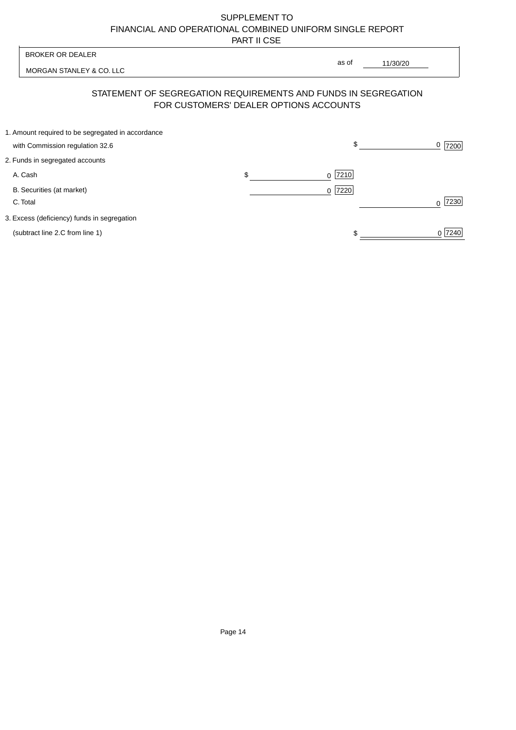| <b>BROKER OR DEALER</b>                                                              | as of                                  |          |                |
|--------------------------------------------------------------------------------------|----------------------------------------|----------|----------------|
| MORGAN STANLEY & CO. LLC                                                             |                                        | 11/30/20 |                |
| STATEMENT OF SEGREGATION REQUIREMENTS AND FUNDS IN SEGREGATION                       | FOR CUSTOMERS' DEALER OPTIONS ACCOUNTS |          |                |
| 1. Amount required to be segregated in accordance<br>with Commission regulation 32.6 | $\sqrt{2}$                             |          | <u>0</u>  7200 |
| 2. Funds in segregated accounts                                                      |                                        |          |                |
| A. Cash                                                                              | \$<br>7210<br>$\Omega$                 |          |                |
| B. Securities (at market)<br>C. Total                                                | 0 7220                                 |          | 7230           |
| 3. Excess (deficiency) funds in segregation                                          |                                        |          |                |
| (subtract line 2.C from line 1)                                                      |                                        |          | 0 7240         |
|                                                                                      |                                        |          |                |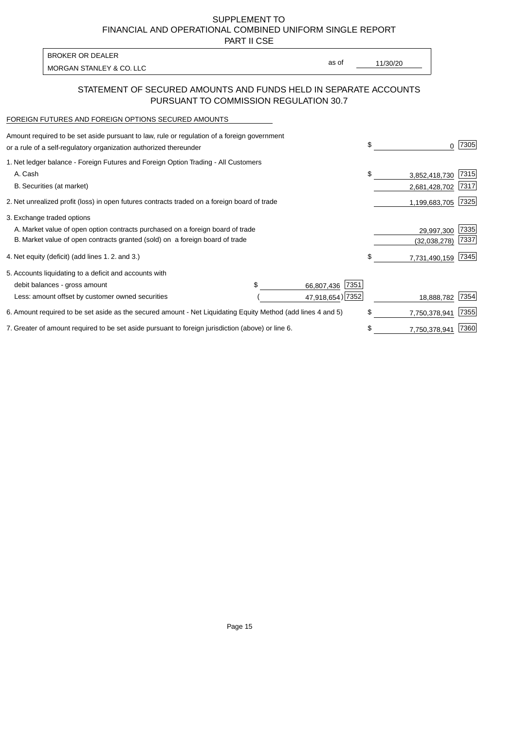PART II CSE

| BROKER OR DEALER         |       |          |
|--------------------------|-------|----------|
| MORGAN STANLEY & CO. LLC | as of | 11/30/20 |
|                          |       |          |

### STATEMENT OF SECURED AMOUNTS AND FUNDS HELD IN SEPARATE ACCOUNTS PURSUANT TO COMMISSION REGULATION 30.7

#### FOREIGN FUTURES AND FOREIGN OPTIONS SECURED AMOUNTS

| Amount required to be set aside pursuant to law, rule or regulation of a foreign government<br>or a rule of a self-regulatory organization authorized thereunder |                    | \$<br>0             | 7305 |
|------------------------------------------------------------------------------------------------------------------------------------------------------------------|--------------------|---------------------|------|
| 1. Net ledger balance - Foreign Futures and Foreign Option Trading - All Customers                                                                               |                    |                     |      |
| A. Cash                                                                                                                                                          |                    | \$<br>3,852,418,730 | 7315 |
| B. Securities (at market)                                                                                                                                        |                    | 2,681,428,702       | 7317 |
| 2. Net unrealized profit (loss) in open futures contracts traded on a foreign board of trade                                                                     |                    | 1,199,683,705       | 7325 |
| 3. Exchange traded options                                                                                                                                       |                    |                     |      |
| A. Market value of open option contracts purchased on a foreign board of trade                                                                                   |                    | 29,997,300          | 7335 |
| B. Market value of open contracts granted (sold) on a foreign board of trade                                                                                     |                    | (32,038,278)        | 7337 |
| 4. Net equity (deficit) (add lines 1.2. and 3.)                                                                                                                  |                    | \$<br>7,731,490,159 | 7345 |
| 5. Accounts liquidating to a deficit and accounts with                                                                                                           |                    |                     |      |
| debit balances - gross amount                                                                                                                                    | 7351<br>66,807,436 |                     |      |
| Less: amount offset by customer owned securities                                                                                                                 | 47,918,654) 7352   | 18,888,782          | 7354 |
| 6. Amount required to be set aside as the secured amount - Net Liquidating Equity Method (add lines 4 and 5)                                                     |                    | \$<br>7,750,378,941 | 7355 |
| 7. Greater of amount required to be set aside pursuant to foreign jurisdiction (above) or line 6.                                                                |                    | \$<br>7,750,378,941 | 7360 |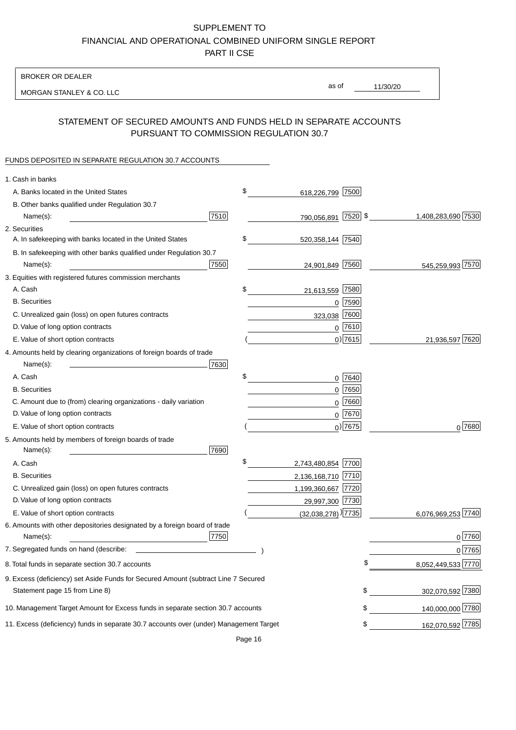BROKER OR DEALER

MORGAN STANLEY & CO. LLC

11/30/20 as of

### STATEMENT OF SECURED AMOUNTS AND FUNDS HELD IN SEPARATE ACCOUNTS PURSUANT TO COMMISSION REGULATION 30.7

### FUNDS DEPOSITED IN SEPARATE REGULATION 30.7 ACCOUNTS

| \$<br>A. Banks located in the United States<br>7500<br>618,226,799<br>B. Other banks qualified under Regulation 30.7<br>7510<br>790,056,891 7520 \$<br>1,408,283,690 7530<br>Name(s):<br>2. Securities<br>\$<br>A. In safekeeping with banks located in the United States<br>520, 358, 144 7540 |        |
|-------------------------------------------------------------------------------------------------------------------------------------------------------------------------------------------------------------------------------------------------------------------------------------------------|--------|
|                                                                                                                                                                                                                                                                                                 |        |
|                                                                                                                                                                                                                                                                                                 |        |
|                                                                                                                                                                                                                                                                                                 |        |
|                                                                                                                                                                                                                                                                                                 |        |
|                                                                                                                                                                                                                                                                                                 |        |
| B. In safekeeping with other banks qualified under Regulation 30.7                                                                                                                                                                                                                              |        |
| 7550<br>24,901,849 7560<br>545,259,993 7570<br>Name(s):                                                                                                                                                                                                                                         |        |
| 3. Equities with registered futures commission merchants                                                                                                                                                                                                                                        |        |
| A. Cash<br>\$<br>7580<br>21,613,559                                                                                                                                                                                                                                                             |        |
| <b>B.</b> Securities<br>$0$ 7590                                                                                                                                                                                                                                                                |        |
| 7600<br>C. Unrealized gain (loss) on open futures contracts<br>323,038                                                                                                                                                                                                                          |        |
| $0$ 7610<br>D. Value of long option contracts                                                                                                                                                                                                                                                   |        |
| $0)$ 7615<br>E. Value of short option contracts<br>21,936,597 7620                                                                                                                                                                                                                              |        |
| 4. Amounts held by clearing organizations of foreign boards of trade                                                                                                                                                                                                                            |        |
| Name(s):<br>7630                                                                                                                                                                                                                                                                                |        |
| \$<br>A. Cash<br>$0$ 7640                                                                                                                                                                                                                                                                       |        |
| $0$ 7650<br><b>B.</b> Securities                                                                                                                                                                                                                                                                |        |
| C. Amount due to (from) clearing organizations - daily variation<br>7660<br>0                                                                                                                                                                                                                   |        |
| D. Value of long option contracts<br>0 7670                                                                                                                                                                                                                                                     |        |
| $_0$ ) 7675<br>E. Value of short option contracts                                                                                                                                                                                                                                               | 0 7680 |
| 5. Amounts held by members of foreign boards of trade<br>7690<br>Name(s):                                                                                                                                                                                                                       |        |
| \$<br>2,743,480,854 7700<br>A. Cash                                                                                                                                                                                                                                                             |        |
| <b>B.</b> Securities<br>2,136,168,710 7710                                                                                                                                                                                                                                                      |        |
| C. Unrealized gain (loss) on open futures contracts<br>1,199,360,667 7720                                                                                                                                                                                                                       |        |
| D. Value of long option contracts<br>29,997,300 7730                                                                                                                                                                                                                                            |        |
| E. Value of short option contracts<br>$(32,038,278)$ <sup>)</sup> $7735$<br>6,076,969,253 7740                                                                                                                                                                                                  |        |
| 6. Amounts with other depositories designated by a foreign board of trade<br>7750<br>Name(s):                                                                                                                                                                                                   | 0 7760 |
| 7. Segregated funds on hand (describe:                                                                                                                                                                                                                                                          | 0 7765 |
| 8,052,449,533 7770<br>\$<br>8. Total funds in separate section 30.7 accounts                                                                                                                                                                                                                    |        |
| 9. Excess (deficiency) set Aside Funds for Secured Amount (subtract Line 7 Secured<br>302,070,592 7380<br>Statement page 15 from Line 8)<br>\$                                                                                                                                                  |        |
| 140,000,000 7780<br>10. Management Target Amount for Excess funds in separate section 30.7 accounts<br>\$                                                                                                                                                                                       |        |
| 162,070,592 7785<br>11. Excess (deficiency) funds in separate 30.7 accounts over (under) Management Target<br>\$                                                                                                                                                                                |        |

Page 16